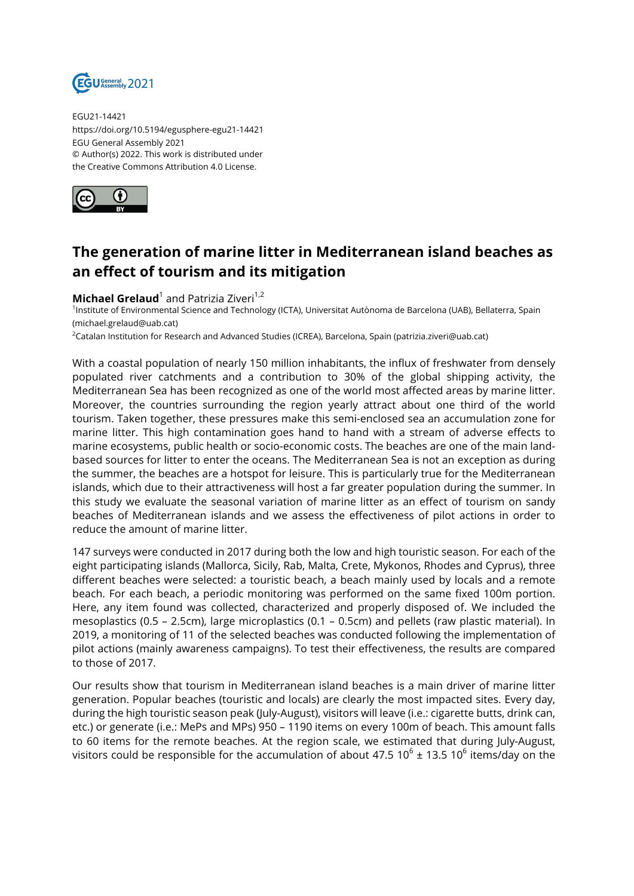

EGU21-14421 https://doi.org/10.5194/egusphere-egu21-14421 EGU General Assembly 2021 © Author(s) 2022. This work is distributed under the Creative Commons Attribution 4.0 License.



## **The generation of marine litter in Mediterranean island beaches as an effect of tourism and its mitigation**

## **Michael Grelaud**<sup>1</sup> and Patrizia Ziveri<sup>1,2</sup>

1 Institute of Environmental Science and Technology (ICTA), Universitat Autònoma de Barcelona (UAB), Bellaterra, Spain (michael.grelaud@uab.cat)

<sup>2</sup>Catalan Institution for Research and Advanced Studies (ICREA), Barcelona, Spain (patrizia.ziveri@uab.cat)

With a coastal population of nearly 150 million inhabitants, the influx of freshwater from densely populated river catchments and a contribution to 30% of the global shipping activity, the Mediterranean Sea has been recognized as one of the world most affected areas by marine litter. Moreover, the countries surrounding the region yearly attract about one third of the world tourism. Taken together, these pressures make this semi-enclosed sea an accumulation zone for marine litter. This high contamination goes hand to hand with a stream of adverse effects to marine ecosystems, public health or socio-economic costs. The beaches are one of the main landbased sources for litter to enter the oceans. The Mediterranean Sea is not an exception as during the summer, the beaches are a hotspot for leisure. This is particularly true for the Mediterranean islands, which due to their attractiveness will host a far greater population during the summer. In this study we evaluate the seasonal variation of marine litter as an effect of tourism on sandy beaches of Mediterranean islands and we assess the effectiveness of pilot actions in order to reduce the amount of marine litter.

147 surveys were conducted in 2017 during both the low and high touristic season. For each of the eight participating islands (Mallorca, Sicily, Rab, Malta, Crete, Mykonos, Rhodes and Cyprus), three different beaches were selected: a touristic beach, a beach mainly used by locals and a remote beach. For each beach, a periodic monitoring was performed on the same fixed 100m portion. Here, any item found was collected, characterized and properly disposed of. We included the mesoplastics (0.5 – 2.5cm), large microplastics (0.1 – 0.5cm) and pellets (raw plastic material). In 2019, a monitoring of 11 of the selected beaches was conducted following the implementation of pilot actions (mainly awareness campaigns). To test their effectiveness, the results are compared to those of 2017.

Our results show that tourism in Mediterranean island beaches is a main driver of marine litter generation. Popular beaches (touristic and locals) are clearly the most impacted sites. Every day, during the high touristic season peak (July-August), visitors will leave (i.e.: cigarette butts, drink can, etc.) or generate (i.e.: MePs and MPs) 950 – 1190 items on every 100m of beach. This amount falls to 60 items for the remote beaches. At the region scale, we estimated that during July-August, visitors could be responsible for the accumulation of about 47.5 10 $^6$  ± 13.5 10 $^6$  items/day on the